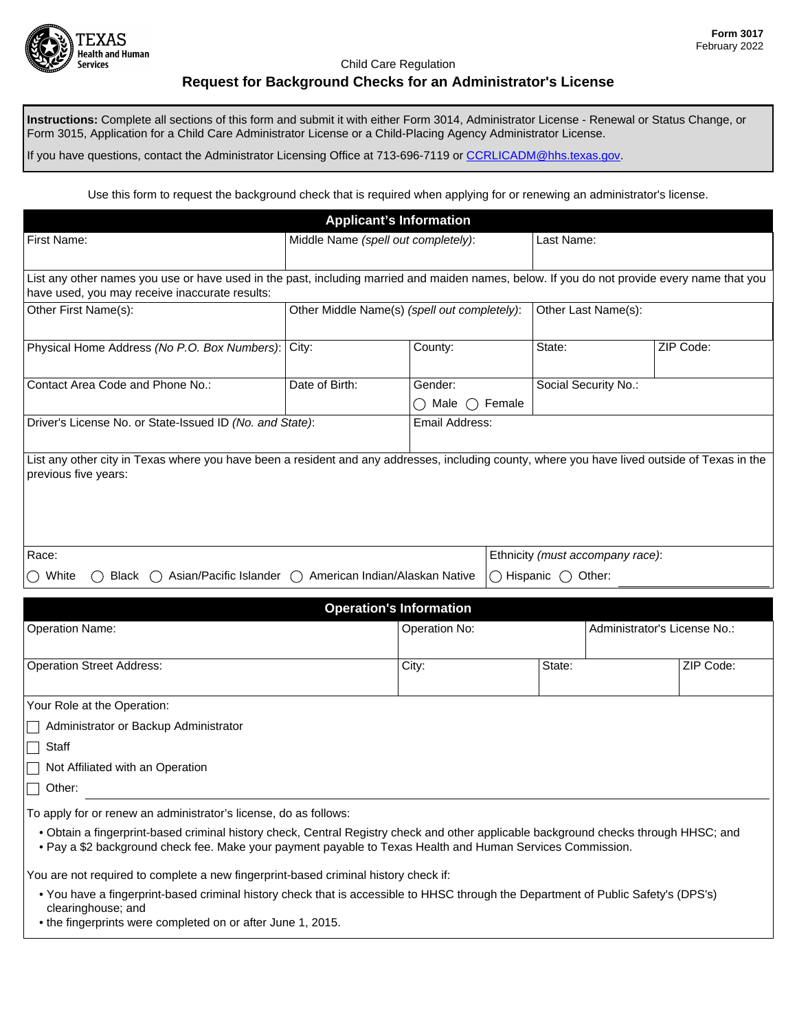

Child Care Regulation

## **Request for Background Checks for an Administrator's License**

**Instructions:** Complete all sections of this form and submit it with either Form 3014, Administrator License - Renewal or Status Change, or Form 3015, Application for a Child Care Administrator License or a Child-Placing Agency Administrator License.

If you have questions, contact the Administrator Licensing Office at 713-696-7119 or [CCRLICADM@hhs.texas.gov.](mailto:CCRLICADM@hhs.texas.gov)

Use this form to request the background check that is required when applying for or renewing an administrator's license.

| <b>Applicant's Information</b>                                                                                                                                                                                                                     |                                     |                                              |            |                              |           |
|----------------------------------------------------------------------------------------------------------------------------------------------------------------------------------------------------------------------------------------------------|-------------------------------------|----------------------------------------------|------------|------------------------------|-----------|
| First Name:                                                                                                                                                                                                                                        | Middle Name (spell out completely): |                                              | Last Name: |                              |           |
| List any other names you use or have used in the past, including married and maiden names, below. If you do not provide every name that you<br>have used, you may receive inaccurate results:                                                      |                                     |                                              |            |                              |           |
| Other First Name(s):                                                                                                                                                                                                                               |                                     | Other Middle Name(s) (spell out completely): |            | Other Last Name(s):          |           |
| Physical Home Address (No P.O. Box Numbers):                                                                                                                                                                                                       | City:                               | County:                                      | State:     |                              | ZIP Code: |
| Contact Area Code and Phone No.:                                                                                                                                                                                                                   | Date of Birth:                      | Gender:<br>$\bigcirc$ Female<br>( ) Male     |            | Social Security No.:         |           |
| Driver's License No. or State-Issued ID (No. and State):                                                                                                                                                                                           |                                     | Email Address:                               |            |                              |           |
| previous five years:                                                                                                                                                                                                                               |                                     |                                              |            |                              |           |
| Race:<br>Ethnicity (must accompany race):                                                                                                                                                                                                          |                                     |                                              |            |                              |           |
| $\bigcirc$ White<br>Asian/Pacific Islander $\bigcirc$<br>American Indian/Alaskan Native<br>$\bigcirc$ Hispanic $\bigcirc$ Other:<br>Black<br>( )<br>$($ )                                                                                          |                                     |                                              |            |                              |           |
| <b>Operation's Information</b>                                                                                                                                                                                                                     |                                     |                                              |            |                              |           |
| <b>Operation Name:</b>                                                                                                                                                                                                                             |                                     | Operation No:                                |            | Administrator's License No.: |           |
| <b>Operation Street Address:</b>                                                                                                                                                                                                                   |                                     | City:                                        | State:     |                              | ZIP Code: |
| Your Role at the Operation:                                                                                                                                                                                                                        |                                     |                                              |            |                              |           |
| Administrator or Backup Administrator                                                                                                                                                                                                              |                                     |                                              |            |                              |           |
| Staff                                                                                                                                                                                                                                              |                                     |                                              |            |                              |           |
| Not Affiliated with an Operation                                                                                                                                                                                                                   |                                     |                                              |            |                              |           |
| Other:                                                                                                                                                                                                                                             |                                     |                                              |            |                              |           |
| To apply for or renew an administrator's license, do as follows:                                                                                                                                                                                   |                                     |                                              |            |                              |           |
| . Obtain a fingerprint-based criminal history check, Central Registry check and other applicable background checks through HHSC; and<br>• Pay a \$2 background check fee. Make your payment payable to Texas Health and Human Services Commission. |                                     |                                              |            |                              |           |
| You are not required to complete a new fingerprint-based criminal history check if:                                                                                                                                                                |                                     |                                              |            |                              |           |
| • You have a fingerprint-based criminal history check that is accessible to HHSC through the Department of Public Safety's (DPS's)<br>clearinghouse; and                                                                                           |                                     |                                              |            |                              |           |

• the fingerprints were completed on or after June 1, 2015.